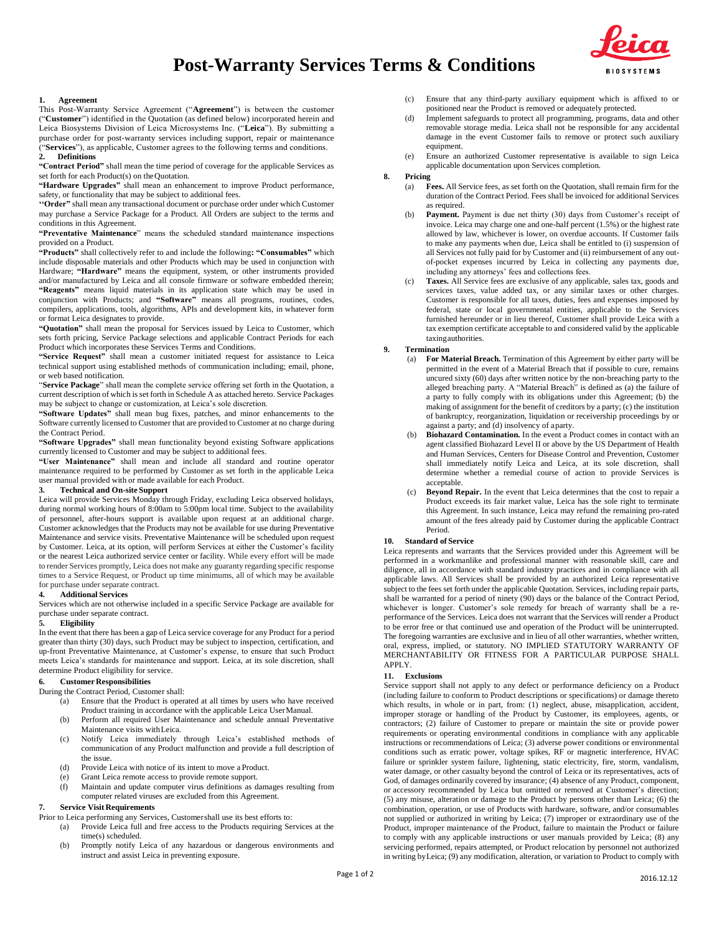# **Post-Warranty Services Terms & Conditions**



## **1. Agreement**

This Post-Warranty Service Agreement ("**Agreement**") is between the customer ("**Customer**") identified in the Quotation (as defined below) incorporated herein and Leica Biosystems Division of Leica Microsystems Inc. ("**Leica**"). By submitting a purchase order for post-warranty services including support, repair or maintenance ("**Services**"), as applicable, Customer agrees to the following terms and conditions. **2. Definitions**

**"Contract Period"** shall mean the time period of coverage for the applicable Services as set forth for each Product(s) on theQuotation.

**"Hardware Upgrades"** shall mean an enhancement to improve Product performance, safety, or functionality that may be subject to additional fees.

**''Order"** shall mean any transactional document or purchase order under which Customer may purchase a Service Package for a Product. All Orders are subject to the terms and conditions in this Agreement.

#### **"Preventative Maintenance**" means the scheduled standard maintenance inspections provided on a Product.

**"Products"** shall collectively refer to and include the following**: "Consumables"** which include disposable materials and other Products which may be used in conjunction with Hardware; **"Hardware"** means the equipment, system, or other instruments provided and/or manufactured by Leica and all console firmware or software embedded therein; **"Reagents"** means liquid materials in its application state which may be used in conjunction with Products; and **"Software"** means all programs, routines, codes, compilers, applications, tools, algorithms, APIs and development kits, in whatever form or format Leica designates to provide.

**"Quotation"** shall mean the proposal for Services issued by Leica to Customer, which sets forth pricing, Service Package selections and applicable Contract Periods for each Product which incorporates these Services Terms and Conditions.

**"Service Request"** shall mean a customer initiated request for assistance to Leica technical support using established methods of communication including; email, phone, or web based notification.

"**Service Package**" shall mean the complete service offering set forth in the Quotation, a current description of which is set forth in Schedule A as attached hereto. Service Packages may be subject to change or customization, at Leica's sole discretion.

**"Software Updates"** shall mean bug fixes, patches, and minor enhancements to the Software currently licensed to Customer that are provided to Customer at no charge during the Contract Period.

**"Software Upgrades"** shall mean functionality beyond existing Software applications currently licensed to Customer and may be subject to additional fees.

**"User Maintenance"** shall mean and include all standard and routine operator maintenance required to be performed by Customer as set forth in the applicable Leica user manual provided with or made available for each Product.

#### **3. Technical and On-site Support**

Leica will provide Services Monday through Friday, excluding Leica observed holidays, during normal working hours of 8:00am to 5:00pm local time. Subject to the availability of personnel, after-hours support is available upon request at an additional charge. Customer acknowledges that the Products may not be available for use during Preventative Maintenance and service visits. Preventative Maintenance will be scheduled upon request by Customer. Leica, at its option, will perform Services at either the Customer's facility or the nearest Leica authorized service center or facility. While every effort will be made to render Services promptly, Leica does not make any guaranty regarding specific response times to a Service Request, or Product up time minimums, all of which may be available for purchase under separate contract.

#### **4. Additional Services**

Services which are not otherwise included in a specific Service Package are available for purchase under separate contract.

#### **5. Eligibility**

In the event that there has been a gap of Leica service coverage for any Product for a period greater than thirty (30) days, such Product may be subject to inspection, certification, and up-front Preventative Maintenance, at Customer's expense, to ensure that such Product meets Leica's standards for maintenance and support. Leica, at its sole discretion, shall determine Product eligibility for service.

## **6. Customer Responsibilities**

During the Contract Period, Customer shall:

- (a) Ensure that the Product is operated at all times by users who have received Product training in accordance with the applicable Leica UserManual.
- (b) Perform all required User Maintenance and schedule annual Preventative Maintenance visits withLeica.
- (c) Notify Leica immediately through Leica's established methods of communication of any Product malfunction and provide a full description of the issue.
- (d) Provide Leica with notice of its intent to move a Product.
- (e) Grant Leica remote access to provide remote support.
- (f) Maintain and update computer virus definitions as damages resulting from computer related viruses are excluded from this Agreement.

## **7. Service Visit Requirements**

Prior to Leica performing any Services, Customershall use its best efforts to:

- (a) Provide Leica full and free access to the Products requiring Services at the time(s) scheduled.
- (b) Promptly notify Leica of any hazardous or dangerous environments and instruct and assist Leica in preventing exposure.
- (c) Ensure that any third-party auxiliary equipment which is affixed to or positioned near the Product is removed or adequately protected.
- (d) Implement safeguards to protect all programming, programs, data and other removable storage media. Leica shall not be responsible for any accidental damage in the event Customer fails to remove or protect such auxiliary equipment.
- (e) Ensure an authorized Customer representative is available to sign Leica applicable documentation upon Services completion.

## **8. Pricing**

- (a) **Fees.** All Service fees, as set forth on the Quotation, shall remain firm for the duration of the Contract Period. Fees shall be invoiced for additional Services as required.
- (b) **Payment.** Payment is due net thirty (30) days from Customer's receipt of invoice. Leica may charge one and one-half percent (1.5%) or the highest rate allowed by law, whichever is lower, on overdue accounts. If Customer fails to make any payments when due, Leica shall be entitled to (i) suspension of all Services not fully paid for by Customer and (ii) reimbursement of any outof-pocket expenses incurred by Leica in collecting any payments due, including any attorneys' fees and collections fees.
- (c) **Taxes.** All Service fees are exclusive of any applicable, sales tax, goods and services taxes, value added tax, or any similar taxes or other charges. Customer is responsible for all taxes, duties, fees and expenses imposed by federal, state or local governmental entities, applicable to the Services furnished hereunder or in lieu thereof, Customer shall provide Leica with a tax exemption certificate acceptable to and considered valid by the applicable taxingauthorities.

## **9. Termination**

- (a) **For Material Breach.** Termination of this Agreement by either party will be permitted in the event of a Material Breach that if possible to cure, remains uncured sixty (60) days after written notice by the non-breaching party to the alleged breaching party. A "Material Breach" is defined as (a) the failure of a party to fully comply with its obligations under this Agreement; (b) the making of assignment for the benefit of creditors by a party; (c) the institution of bankruptcy, reorganization, liquidation or receivership proceedings by or against a party; and (d) insolvency of aparty.
- (b) **Biohazard Contamination.** In the event a Product comes in contact with an agent classified Biohazard Level II or above by the US Department of Health and Human Services, Centers for Disease Control and Prevention, Customer shall immediately notify Leica and Leica, at its sole discretion, shall determine whether a remedial course of action to provide Services is acceptable.
- (c) **Beyond Repair.** In the event that Leica determines that the cost to repair a Product exceeds its fair market value, Leica has the sole right to terminate this Agreement. In such instance, Leica may refund the remaining pro-rated amount of the fees already paid by Customer during the applicable Contract Period.

## **10. Standard of Service**

Leica represents and warrants that the Services provided under this Agreement will be performed in a workmanlike and professional manner with reasonable skill, care and diligence, all in accordance with standard industry practices and in compliance with all applicable laws. All Services shall be provided by an authorized Leica representative subject to the fees set forth under the applicable Quotation. Services, including repair parts, shall be warranted for a period of ninety (90) days or the balance of the Contract Period, whichever is longer. Customer's sole remedy for breach of warranty shall be a reperformance of the Services. Leica does not warrant that the Services will render a Product to be error free or that continued use and operation of the Product will be uninterrupted. The foregoing warranties are exclusive and in lieu of all other warranties, whether written, oral, express, implied, or statutory. NO IMPLIED STATUTORY WARRANTY OF MERCHANTABILITY OR FITNESS FOR A PARTICULAR PURPOSE SHALL APPLY.

#### **11. Exclusions**

Service support shall not apply to any defect or performance deficiency on a Product (including failure to conform to Product descriptions or specifications) or damage thereto which results, in whole or in part, from: (1) neglect, abuse, misapplication, accident, improper storage or handling of the Product by Customer, its employees, agents, or contractors; (2) failure of Customer to prepare or maintain the site or provide power requirements or operating environmental conditions in compliance with any applicable instructions or recommendations of Leica; (3) adverse power conditions or environmental conditions such as erratic power, voltage spikes, RF or magnetic interference, HVAC failure or sprinkler system failure, lightening, static electricity, fire, storm, vandalism, water damage, or other casualty beyond the control of Leica or its representatives, acts of God, of damages ordinarily covered by insurance; (4) absence of any Product, component, or accessory recommended by Leica but omitted or removed at Customer's direction; (5) any misuse, alteration or damage to the Product by persons other than Leica; (6) the combination, operation, or use of Products with hardware, software, and/or consumables not supplied or authorized in writing by Leica; (7) improper or extraordinary use of the Product, improper maintenance of the Product, failure to maintain the Product or failure to comply with any applicable instructions or user manuals provided by Leica; (8) any servicing performed, repairs attempted, or Product relocation by personnel not authorized in writing byLeica; (9) any modification, alteration, or variation to Product to comply with